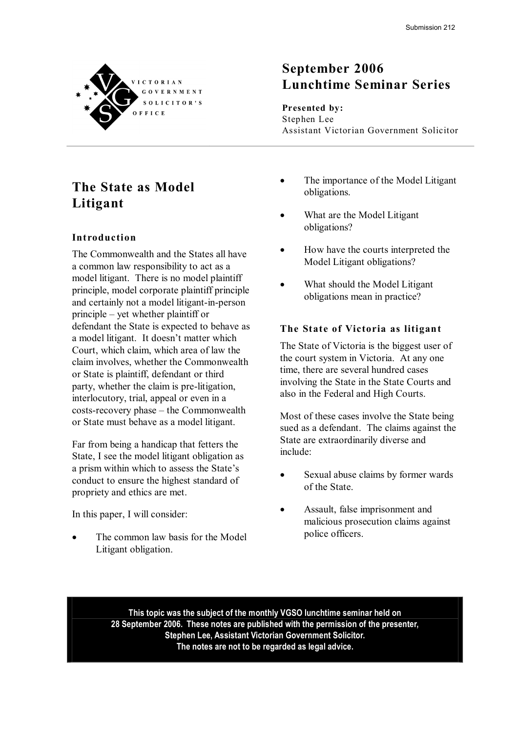

### **September 2006 Lunchtime Seminar Series**

#### **Presented by:** Stephen Lee

Assistant Victorian Government Solicitor

### **The State as Model Litigant**

#### **In troduc tion**

The Commonwealth and the States all have a common law responsibility to act as a model litigant. There is no model plaintiff principle, model corporate plaintiff principle and certainly not a model litigant-in-person principle – yet whether plaintiff or defendant the State is expected to behave as a model litigant. It doesn't matter which Court, which claim, which area of law the claim involves, whether the Commonwealth or State is plaintiff, defendant or third party, whether the claim is pre-litigation, interlocutory, trial, appeal or even in a  $costs$ -recovery phase – the Commonwealth or State must behave as a model litigant.

Far from being a handicap that fetters the State, I see the model litigant obligation as a prism within which to assess the State's conduct to ensure the highest standard of propriety and ethics are met.

In this paper, I will consider:

The common law basis for the Model Litigant obligation.

- The importance of the Model Litigant obligations.
- What are the Model Litigant obligations?
- How have the courts interpreted the Model Litigant obligations?
- What should the Model Litigant obligations mean in practice?

#### **The State of Victoria as litigant**

The State of Victoria is the biggest user of the court system in Victoria. At any one time, there are several hundred cases involving the State in the State Courts and also in the Federal and High Courts.

Most of these cases involve the State being sued as a defendant. The claims against the State are extraordinarily diverse and include:

- Sexual abuse claims by former wards of the State.
- Assault, false imprisonment and malicious prosecution claims against police officers.

**This topic was the subject of the monthly VGSO lunchtime seminar held on 28 September 2006. These notes are published with the permission of the presenter, Stephen Lee, Assistant Victorian Government Solicitor. The notes are not to be regarded as legal advice.**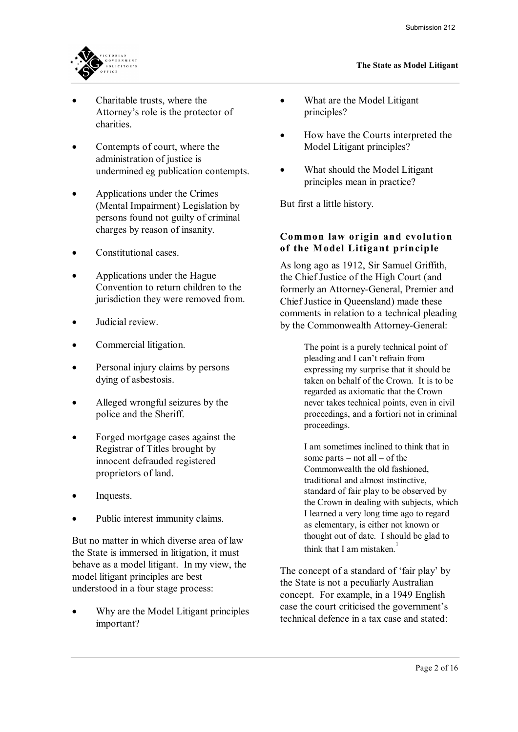

- Charitable trusts, where the Attorney's role is the protector of charities.
- Contempts of court, where the administration of justice is undermined eg publication contempts.
- · Applications under the Crimes (Mental Impairment) Legislation by persons found not guilty of criminal charges by reason of insanity.
- Constitutional cases.
- · Applications under the Hague Convention to return children to the jurisdiction they were removed from.
- Judicial review.
- Commercial litigation.
- Personal injury claims by persons dying of asbestosis.
- Alleged wrongful seizures by the police and the Sheriff.
- Forged mortgage cases against the Registrar of Titles brought by innocent defrauded registered proprietors of land.
- · Inquests.
- Public interest immunity claims.

But no matter in which diverse area of law the State is immersed in litigation, it must behave as a model litigant. In my view, the model litigant principles are best understood in a four stage process:

Why are the Model Litigant principles important?

- What are the Model Litigant principles?
- · How have the Courts interpreted the Model Litigant principles?
- What should the Model Litigant principles mean in practice?

But first a little history.

# **Common law origin and evolu tion Common law origin and evolution**<br>of the Model Litigant principle

As long ago as 1912, Sir Samuel Griffith, the Chief Justice of the High Court (and formerly an Attorney-General, Premier and Chief Justice in Queensland) made these comments in relation to a technical pleading by the Commonwealth Attorney-General:

> The point is a purely technical point of pleading and I can't refrain from expressing my surprise that it should be taken on behalf of the Crown. It is to be regarded as axiomatic that the Crown never takes technical points, even in civil proceedings, and a fortiori not in criminal proceedings.

> I am sometimes inclined to think that in some parts – not all – of the Commonwealth the old fashioned, traditional and almost instinctive, standard of fair play to be observed by the Crown in dealing with subjects, which I learned a very long time ago to regard as elementary, is either not known or thought out of date. I should be glad to think that I am mistaken. $1$

The concept of a standard of 'fair play' by the State is not a peculiarly Australian concept. For example, in a 1949 English case the court criticised the government's technical defence in a tax case and stated: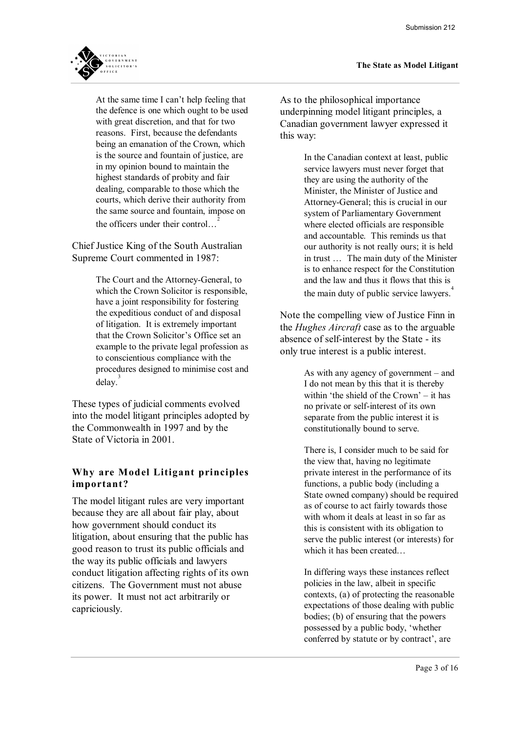

At the same time I can't help feeling that the defence is one which ought to be used with great discretion, and that for two reasons. First, because the defendants being an emanation of the Crown, which is the source and fountain of justice, are in my opinion bound to maintain the highest standards of probity and fair dealing, comparable to those which the courts, which derive their authority from the same source and fountain, impose on the officers under their control...

Chief Justice King of the South Australian Supreme Court commented in 1987:

> The Court and the Attorney-General, to which the Crown Solicitor is responsible, have a joint responsibility for fostering the expeditious conduct of and disposal of litigation. It is extremely important that the Crown Solicitor's Office set an example to the private legal profession as to conscientious compliance with the procedures designed to minimise cost and  $delay.<sup>3</sup>$

These types of judicial comments evolved into the model litigant principles adopted by the Commonwealth in 1997 and by the State of Victoria in 2001.

# **Why are Model Litigant principles**<br>important? Why are Model Li<br>important?

The model litigant rules are very important because they are all about fair play, about how government should conduct its litigation, about ensuring that the public has good reason to trust its public officials and the way its public officials and lawyers conduct litigation affecting rights of its own citizens. The Government must not abuse its power. It must not act arbitrarily or capriciously.

As to the philosophical importance underpinning model litigant principles, a Canadian government lawyer expressed it this way:

> In the Canadian context at least, public service lawyers must never forget that they are using the authority of the Minister, the Minister of Justice and Attorney-General; this is crucial in our system of Parliamentary Government where elected officials are responsible and accountable. This reminds us that our authority is not really ours; it is held in trust … The main duty of the Minister is to enhance respect for the Constitution and the law and thus it flows that this is the main duty of public service lawyers.<sup>4</sup>

Note the compelling view of Justice Finn in the *Hughes Aircraft* case as to the arguable absence of self-interest by the State - its only true interest is a public interest.

> As with any agency of government – and I do not mean by this that it is thereby within 'the shield of the Crown' – it has no private or self-interest of its own separate from the public interest it is constitutionally bound to serve.

There is, I consider much to be said for the view that, having no legitimate private interest in the performance of its functions, a public body (including a State owned company) should be required as of course to act fairly towards those with whom it deals at least in so far as this is consistent with its obligation to serve the public interest (or interests) for which it has been created…

In differing ways these instances reflect policies in the law, albeit in specific contexts, (a) of protecting the reasonable expectations of those dealing with public bodies; (b) of ensuring that the powers possessed by a public body, 'whether conferred by statute or by contract', are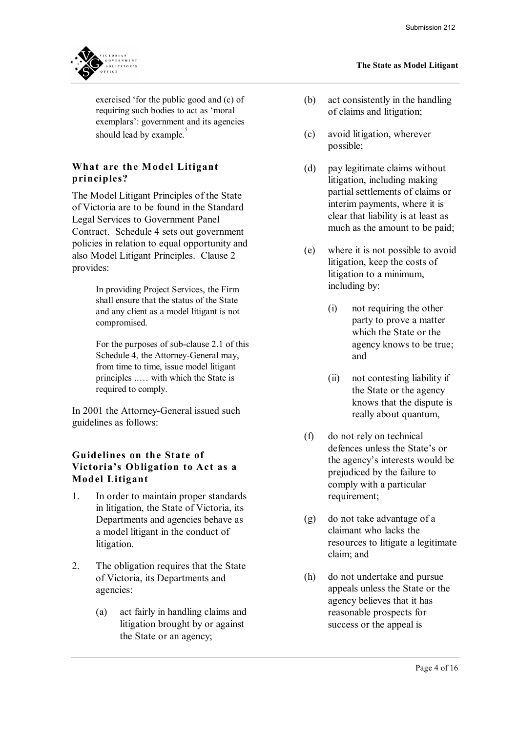

exercised 'for the public good and (c) of requiring such bodies to act as 'moral exemplars': government and its agencies should lead by example.<sup>5</sup>

# **What are the Model Litigant**<br> **principles**? **What are the Mo**<br>principles?

The Model Litigant Principles of the State of Victoria are to be found in the Standard Legal Services to Government Panel Contract. Schedule 4 sets out government policies in relation to equal opportunity and also Model Litigant Principles. Clause 2 provides:

> In providing Project Services, the Firm shall ensure that the status of the State and any client as a model litigant is not compromised.

For the purposes of sub-clause 2.1 of this Schedule 4, the Attorney-General may, from time to time, issue model litigant principles ..… with which the State is required to comply.

In 2001 the Attorney-General issued such guidelines as follows:

### **Guidelines on the State of<br>Cuidelines on the State of<br>Victoria's Obligation to Act as a Guidelines on the State of<br>Victoria's Obligation to Act as a<br>Model Litigant Guidelines on the Stat<br>Victoria's Obligation t<br>Model Litigant**

- 1. In order to maintain proper standards in litigation, the State of Victoria, its Departments and agencies behave as a model litigant in the conduct of litigation.
- 2. The obligation requires that the State of Victoria, its Departments and agencies:
	- (a) act fairly in handling claims and litigation brought by or against the State or an agency;

#### **The State as Model Litigant**

- (b) act consistently in the handling of claims and litigation;
- (c) avoid litigation, wherever possible;
- (d) pay legitimate claims without litigation, including making partial settlements of claims or interim payments, where it is clear that liability is at least as much as the amount to be paid;
- (e) where it is not possible to avoid litigation, keep the costs of litigation to a minimum, including by:
	- (i) not requiring the other party to prove a matter which the State or the agency knows to be true; and
	- (ii) not contesting liability if the State or the agency knows that the dispute is really about quantum,
- (f) do not rely on technical defences unless the State's or the agency's interests would be prejudiced by the failure to comply with a particular requirement;
- (g) do not take advantage of a claimant who lacks the resources to litigate a legitimate claim; and
- (h) do not undertake and pursue appeals unless the State or the agency believes that it has reasonable prospects for success or the appeal is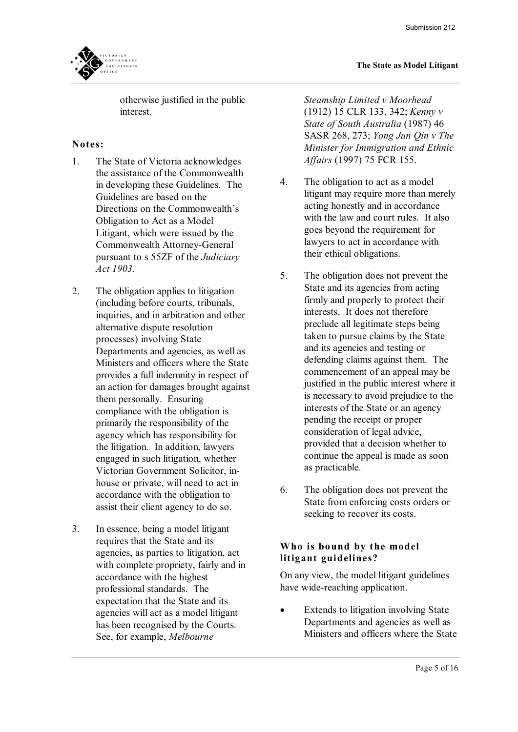otherwise justified in the public interest.

### **Notes:**<br>1. Th

- The State of Victoria acknowledges the assistance of the Commonwealth in developing these Guidelines. The Guidelines are based on the Directions on the Commonwealth's Obligation to Act as a Model Litigant, which were issued by the Commonwealth Attorney-General pursuant to s 55ZF of the *Judiciary Act 1903*.
- 2. The obligation applies to litigation (including before courts, tribunals, inquiries, and in arbitration and other alternative dispute resolution processes) involving State Departments and agencies, as well as Ministers and officers where the State provides a full indemnity in respect of an action for damages brought against them personally. Ensuring compliance with the obligation is primarily the responsibility of the agency which has responsibility for the litigation. In addition, lawyers engaged in such litigation, whether Victorian Government Solicitor, in house or private, will need to act in accordance with the obligation to assist their client agency to do so.
- 3. In essence, being a model litigant requires that the State and its agencies, as parties to litigation, act with complete propriety, fairly and in accordance with the highest professional standards. The expectation that the State and its agencies will act as a model litigant has been recognised by the Courts. See, for example, *Melbourne*

*Steamship Limited v Moorhead* (1912) 15 CLR 133, 342; *Kenny v State of South Australia* (1987) 46 SASR 268, 273; *Yong Jun Qin v The Minister for Immigration and Ethnic Affairs* (1997) 75 FCR 155.

- 4. The obligation to act as a model litigant may require more than merely acting honestly and in accordance with the law and court rules. It also goes beyond the requirement for lawyers to act in accordance with their ethical obligations.
- 5. The obligation does not prevent the State and its agencies from acting firmly and properly to protect their interests. It does not therefore preclude all legitimate steps being taken to pursue claims by the State and its agencies and testing or defending claims against them. The commencement of an appeal may be justified in the public interest where it is necessary to avoid prejudice to the interests of the State or an agency pending the receipt or proper consideration of legal advice, provided that a decision whether to continue the appeal is made as soon as practicable.
- 6. The obligation does not prevent the State from enforcing costs orders or seeking to recover its costs.

### **Who is bound by the model Who is bound by the mod**<br>**litigant guidelines?**

On any view, the model litigant guidelines have wide-reaching application.

• Extends to litigation involving State Departments and agencies as well as Ministers and officers where the State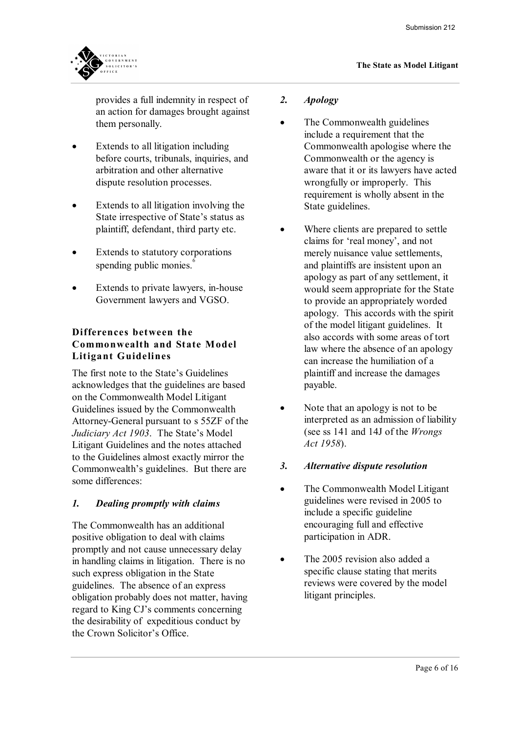

provides a full indemnity in respect of an action for damages brought against them personally.

- · Extends to all litigation including before courts, tribunals, inquiries, and arbitration and other alternative dispute resolution processes.
- · Extends to all litigation involving the State irrespective of State's status as plaintiff, defendant, third party etc.
- Extends to statutory corporations spending public monies.<sup>6</sup>
- Extends to private lawyers, in-house Government lawyers and VGSO.

#### **Differences between the Commonwealth and State Model Litigant Guidelines**

The first note to the State's Guidelines acknowledges that the guidelines are based on the Commonwealth Model Litigant Guidelines issued by the Commonwealth Attorney-General pursuant to s 55ZF of the *Judiciary Act 1903*. The State's Model Litigant Guidelines and the notes attached to the Guidelines almost exactly mirror the Commonwealth's guidelines. But there are some differences:

### *1. Dealing promptly with claims*

The Commonwealth has an additional positive obligation to deal with claims promptly and not cause unnecessary delay in handling claims in litigation. There is no such express obligation in the State guidelines. The absence of an express obligation probably does not matter, having regard to King CJ's comments concerning the desirability of expeditious conduct by the Crown Solicitor's Office.

#### *2. Apology*

- The Commonwealth guidelines include a requirement that the Commonwealth apologise where the Commonwealth or the agency is aware that it or its lawyers have acted wrongfully or improperly. This requirement is wholly absent in the State guidelines.
- Where clients are prepared to settle claims for 'real money', and not merely nuisance value settlements, and plaintiffs are insistent upon an apology as part of any settlement, it would seem appropriate for the State to provide an appropriately worded apology. This accords with the spirit of the model litigant guidelines. It also accords with some areas of tort law where the absence of an apology can increase the humiliation of a plaintiff and increase the damages payable.
- Note that an apology is not to be interpreted as an admission of liability (see ss 141 and 14J of the *Wrongs Act 1958*).
- *3. Alternative dispute resolution*
- The Commonwealth Model Litigant guidelines were revised in 2005 to include a specific guideline encouraging full and effective participation in ADR.
- The 2005 revision also added a specific clause stating that merits reviews were covered by the model litigant principles.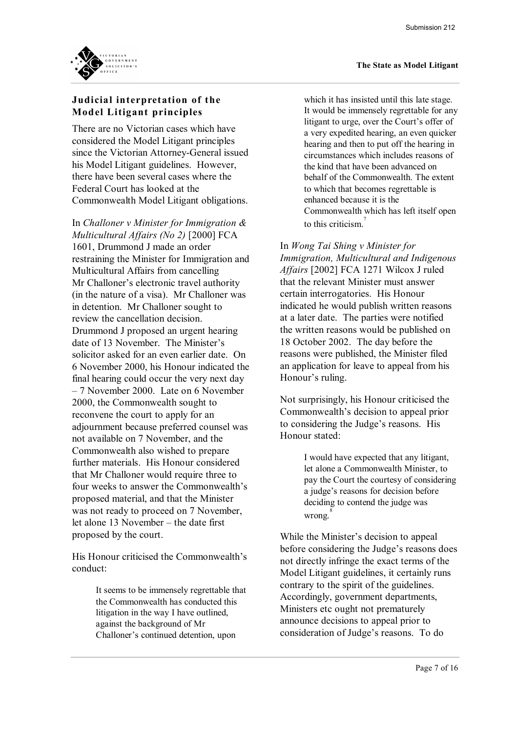

# **V**<br>**Judicial interpretation of the**<br>Model Litigant principles Judicial interpretation of th<br>Model Litigant principles<br>————————————————————

There are no Victorian cases which have considered the Model Litigant principles since the Victorian Attorney-General issued his Model Litigant guidelines. However, there have been several cases where the Federal Court has looked at the Commonwealth Model Litigant obligations.

In *Challoner v Minister for Immigration & Multicultural Affairs (No 2)* [2000] FCA 1601, Drummond J made an order restraining the Minister for Immigration and Multicultural Affairs from cancelling Mr Challoner's electronic travel authority (in the nature of a visa). Mr Challoner was in detention. Mr Challoner sought to review the cancellation decision. Drummond J proposed an urgent hearing date of 13 November. The Minister's solicitor asked for an even earlier date. On 6 November 2000, his Honour indicated the final hearing could occur the very next day – 7 November 2000. Late on 6 November 2000, the Commonwealth sought to reconvene the court to apply for an adjournment because preferred counsel was not available on 7 November, and the Commonwealth also wished to prepare further materials. His Honour considered that Mr Challoner would require three to four weeks to answer the Commonwealth's proposed material, and that the Minister was not ready to proceed on 7 November, let alone 13 November – the date first proposed by the court.

His Honour criticised the Commonwealth's conduct:

> It seems to be immensely regrettable that the Commonwealth has conducted this litigation in the way I have outlined, against the background of Mr Challoner's continued detention, upon

which it has insisted until this late stage. It would be immensely regrettable for any litigant to urge, over the Court's offer of a very expedited hearing, an even quicker hearing and then to put off the hearing in circumstances which includes reasons of the kind that have been advanced on behalf of the Commonwealth. The extent to which that becomes regrettable is enhanced because it is the Commonwealth which has left itself open to this criticism. $\frac{7}{7}$ 

In *Wong Tai Shing v Minister for Immigration, Multicultural and Indigenous Affairs* [2002] FCA 1271 Wilcox J ruled that the relevant Minister must answer certain interrogatories. His Honour indicated he would publish written reasons at a later date. The parties were notified the written reasons would be published on 18 October 2002. The day before the reasons were published, the Minister filed an application for leave to appeal from his Honour's ruling.

Not surprisingly, his Honour criticised the Commonwealth's decision to appeal prior to considering the Judge's reasons. His Honour stated:

> I would have expected that any litigant, let alone a Commonwealth Minister, to pay the Court the courtesy of considering a judge's reasons for decision before deciding to contend the judge was wrong.<sup>8</sup>

While the Minister's decision to appeal before considering the Judge's reasons does not directly infringe the exact terms of the Model Litigant guidelines, it certainly runs contrary to the spirit of the guidelines. Accordingly, government departments, Ministers etc ought not prematurely announce decisions to appeal prior to consideration of Judge's reasons. To do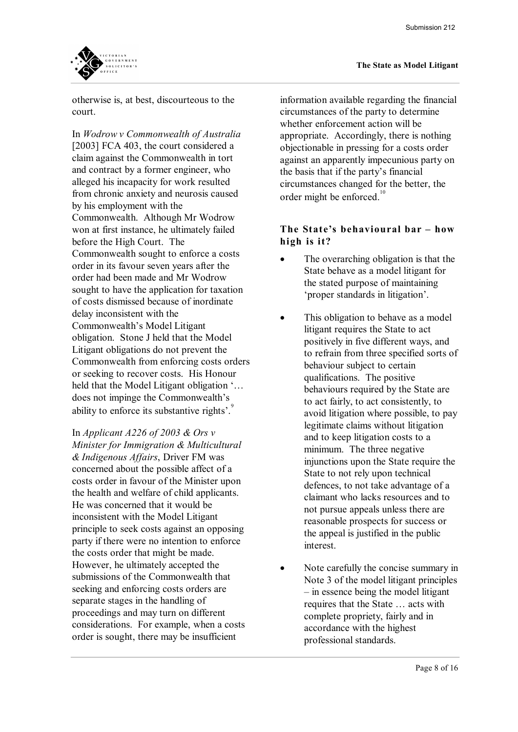

otherwise is, at best, discourteous to the court.

In *Wodrow v Commonwealth of Australia* [2003] FCA 403, the court considered a claim against the Commonwealth in tort and contract by a former engineer, who alleged his incapacity for work resulted from chronic anxiety and neurosis caused by his employment with the Commonwealth. Although Mr Wodrow won at first instance, he ultimately failed before the High Court. The Commonwealth sought to enforce a costs order in its favour seven years after the order had been made and Mr Wodrow sought to have the application for taxation of costs dismissed because of inordinate delay inconsistent with the Commonwealth's Model Litigant obligation. Stone J held that the Model Litigant obligations do not prevent the Commonwealth from enforcing costs orders or seeking to recover costs. His Honour held that the Model Litigant obligation '… does not impinge the Commonwealth's ability to enforce its substantive rights'.

In *Applicant A226 of 2003 & Ors v Minister for Immigration & Multicultural & Indigenous Affairs*, Driver FM was concerned about the possible affect of a costs order in favour of the Minister upon the health and welfare of child applicants. He was concerned that it would be inconsistent with the Model Litigant principle to seek costs against an opposing party if there were no intention to enforce the costs order that might be made. However, he ultimately accepted the submissions of the Commonwealth that seeking and enforcing costs orders are separate stages in the handling of proceedings and may turn on different considerations. For example, when a costs order is sought, there may be insufficient

information available regarding the financial circumstances of the party to determine whether enforcement action will be appropriate. Accordingly, there is nothing objectionable in pressing for a costs order against an apparently impecunious party on the basis that if the party's financial circumstances changed for the better, the order might be enforced.<sup>10</sup>

# **The St ate's behavioural bar – how**  The State's beha<br>high is it?

- The overarching obligation is that the State behave as a model litigant for the stated purpose of maintaining 'proper standards in litigation'.
- This obligation to behave as a model litigant requires the State to act positively in five different ways, and to refrain from three specified sorts of behaviour subject to certain qualifications. The positive behaviours required by the State are to act fairly, to act consistently, to avoid litigation where possible, to pay legitimate claims without litigation and to keep litigation costs to a minimum. The three negative injunctions upon the State require the State to not rely upon technical defences, to not take advantage of a claimant who lacks resources and to not pursue appeals unless there are reasonable prospects for success or the appeal is justified in the public interest.
- Note carefully the concise summary in Note 3 of the model litigant principles – in essence being the model litigant requires that the State … acts with complete propriety, fairly and in accordance with the highest professional standards.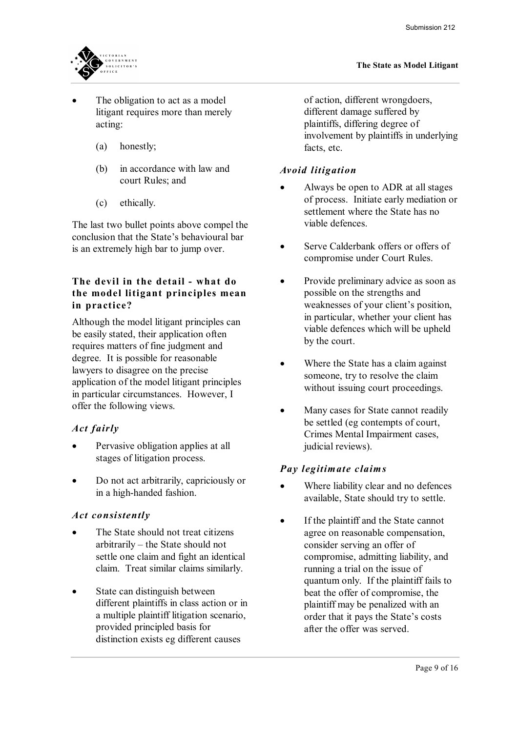

- The obligation to act as a model litigant requires more than merely acting:
	- (a) honestly;
	- (b) in accordance with law and court Rules; and
	- (c) ethically.

The last two bullet points above compel the conclusion that the State's behavioural bar is an extremely high bar to jump over.

#### **The devil in the detail - what do** the model litigant principles mean **in practice?**

Although the model litigant principles can be easily stated, their application often requires matters of fine judgment and degree. It is possible for reasonable lawyers to disagree on the precise application of the model litigant principles in particular circumstances. However, I offer the following views. *Act fairly*

- Pervasive obligation applies at all stages of litigation process.
- · Do not act arbitrarily, capriciously or in a high-handed fashion.

#### *Act consistently*

- The State should not treat citizens arbitrarily – the State should not settle one claim and fight an identical claim. Treat similar claims similarly.
- State can distinguish between different plaintiffs in class action or in a multiple plaintiff litigation scenario, provided principled basis for distinction exists eg different causes

of action, different wrongdoers, different damage suffered by plaintiffs, differing degree of involvement by plaintiffs in underlying facts, etc.

#### *Avoid litig ation*

- · Always be open to ADR at all stages of process. Initiate early mediation or settlement where the State has no viable defences.
- Serve Calderbank offers or offers of compromise under Court Rules.
- Provide preliminary advice as soon as possible on the strengths and weaknesses of your client's position, in particular, whether your client has viable defences which will be upheld by the court.
- Where the State has a claim against someone, try to resolve the claim without issuing court proceedings.
- Many cases for State cannot readily be settled (eg contempts of court, Crimes Mental Impairment cases, judicial reviews).

### *Pay legitim ate claim s*

- Where liability clear and no defences available, State should try to settle.
- If the plaintiff and the State cannot agree on reasonable compensation, consider serving an offer of compromise, admitting liability, and running a trial on the issue of quantum only. If the plaintiff fails to beat the offer of compromise, the plaintiff may be penalized with an order that it pays the State's costs after the offer was served.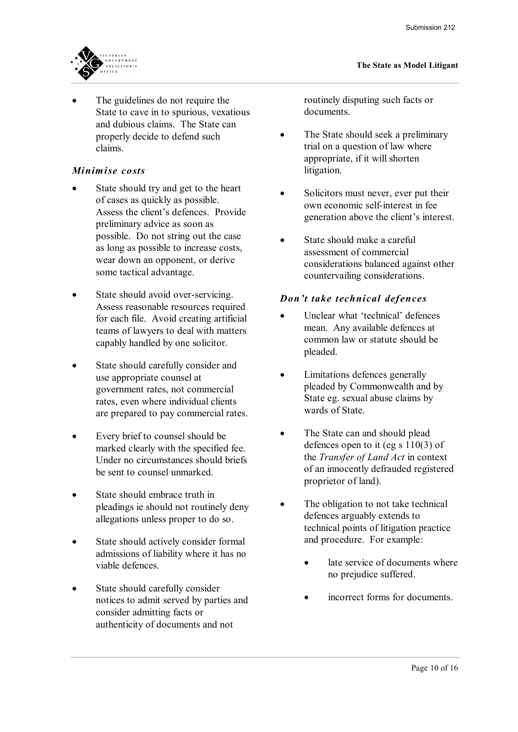

The guidelines do not require the State to cave in to spurious, vexatious and dubious claims. The State can properly decide to defend such claims.

#### *Minimise co sts*

- State should try and get to the heart of cases as quickly as possible. Assess the client's defences. Provide preliminary advice as soon as possible. Do not string out the case as long as possible to increase costs, wear down an opponent, or derive some tactical advantage.
- State should avoid over-servicing. Assess reasonable resources required for each file. Avoid creating artificial teams of lawyers to deal with matters capably handled by one solicitor.
- State should carefully consider and use appropriate counsel at government rates, not commercial rates, even where individual clients are prepared to pay commercial rates.
- Every brief to counsel should be marked clearly with the specified fee. Under no circumstances should briefs be sent to counsel unmarked.
- State should embrace truth in pleadings ie should not routinely deny allegations unless proper to do so.
- State should actively consider formal admissions of liability where it has no viable defences.
- State should carefully consider notices to admit served by parties and consider admitting facts or authenticity of documents and not

routinely disputing such facts or documents.

- The State should seek a preliminary trial on a question of law where appropriate, if it will shorten litigation.
- Solicitors must never, ever put their own economic self-interest in fee generation above the client's interest.
- State should make a careful assessment of commercial considerations balanced against other countervailing considerations.

#### *Don't take technical defences*

- Unclear what 'technical' defences mean. Any available defences at common law or statute should be pleaded.
- · Limitations defences generally pleaded by Commonwealth and by State eg. sexual abuse claims by wards of State.
- The State can and should plead defences open to it (eg s 110(3) of the *Transfer of Land Act* in context of an innocently defrauded registered proprietor of land).
- The obligation to not take technical defences arguably extends to technical points of litigation practice and procedure. For example:
	- late service of documents where no prejudice suffered.
	- incorrect forms for documents.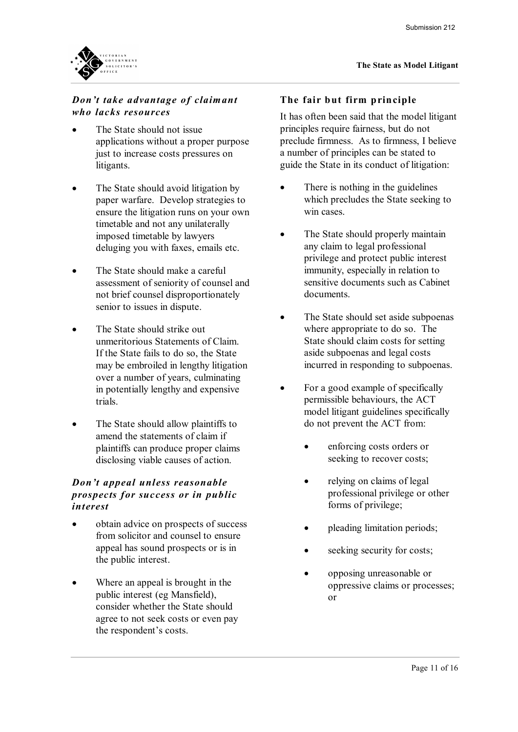

# *Don't take advantage of claimant*<br>who lacks resources *who lacks resources*

- The State should not issue applications without a proper purpose just to increase costs pressures on litigants.
- The State should avoid litigation by paper warfare. Develop strategies to ensure the litigation runs on your own timetable and not any unilaterally imposed timetable by lawyers deluging you with faxes, emails etc.
- The State should make a careful assessment of seniority of counsel and not brief counsel disproportionately senior to issues in dispute.
- The State should strike out unmeritorious Statements of Claim. If the State fails to do so, the State may be embroiled in lengthy litigation over a number of years, culminating in potentially lengthy and expensive trials.
- The State should allow plaintiffs to amend the statements of claim if plaintiffs can produce proper claims disclosing viable causes of action.

### *disclosing viable causes of action.*<br> *Don't appeal unless reasonable*<br> *Prospects for success or in public Don't appeal unless reasonable<br>prospects for success or in public<br>interest interest*

- · obtain advice on prospects of success from solicitor and counsel to ensure appeal has sound prospects or is in the public interest.
- Where an appeal is brought in the public interest (eg Mansfield), consider whether the State should agree to not seek costs or even pay the respondent's costs.

#### **The fair but firm principle**

It has often been said that the model litigant principles require fairness, but do not preclude firmness. As to firmness, I believe a number of principles can be stated to guide the State in its conduct of litigation:

- There is nothing in the guidelines which precludes the State seeking to win cases.
- The State should properly maintain any claim to legal professional privilege and protect public interest immunity, especially in relation to sensitive documents such as Cabinet documents.
- The State should set aside subpoenas where appropriate to do so. The State should claim costs for setting aside subpoenas and legal costs incurred in responding to subpoenas.
- For a good example of specifically permissible behaviours, the ACT model litigant guidelines specifically do not prevent the ACT from:
	- enforcing costs orders or seeking to recover costs;
	- relying on claims of legal professional privilege or other forms of privilege;
	- pleading limitation periods;
	- seeking security for costs;
	- · opposing unreasonable or oppressive claims or processes; or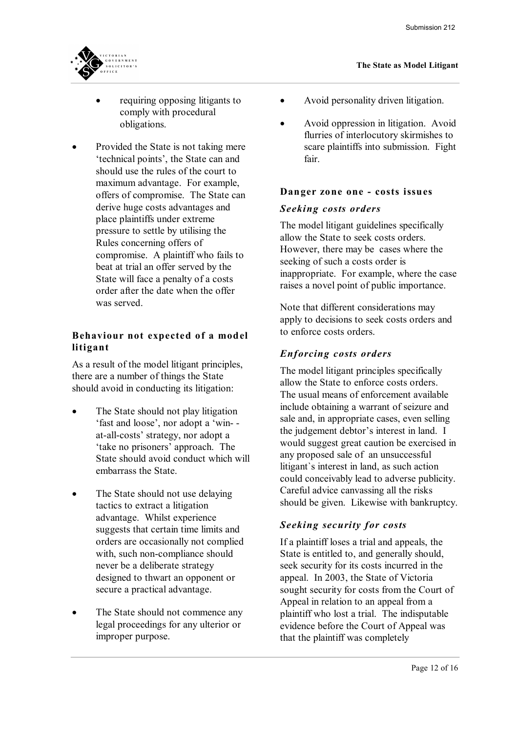

- requiring opposing litigants to comply with procedural obligations.
- Provided the State is not taking mere 'technical points', the State can and should use the rules of the court to maximum advantage. For example, offers of compromise. The State can derive huge costs advantages and place plaintiffs under extreme pressure to settle by utilising the Rules concerning offers of compromise. A plaintiff who fails to beat at trial an offer served by the State will face a penalty of a costs order after the date when the offer was served.

# **Behaviour not expected of a model**<br>litigant **Behaviour not<br>litigant**

As a result of the model litigant principles, there are a number of things the State should avoid in conducting its litigation:

- The State should not play litigation 'fast and loose', nor adopt a 'win at-all-costs' strategy, nor adopt a 'take no prisoners' approach. The State should avoid conduct which will embarrass the State.
- The State should not use delaying tactics to extract a litigation advantage. Whilst experience suggests that certain time limits and orders are occasionally not complied with, such non-compliance should never be a deliberate strategy designed to thwart an opponent or secure a practical advantage.
- The State should not commence any legal proceedings for any ulterior or improper purpose.
- Avoid personality driven litigation.
- · Avoid oppression in litigation. Avoid flurries of interlocutory skirmishes to scare plaintiffs into submission. Fight fair.

#### **Dan ger zone one cos ts issues**

#### *Seeking costs orders*

The model litigant guidelines specifically allow the State to seek costs orders. However, there may be cases where the seeking of such a costs order is inappropriate. For example, where the case raises a novel point of public importance.

Note that different considerations may apply to decisions to seek costs orders and to enforce costs orders.

#### *En f orcing costs orde rs*

The model litigant principles specifically allow the State to enforce costs orders. The usual means of enforcement available include obtaining a warrant of seizure and sale and, in appropriate cases, even selling the judgement debtor's interest in land. I would suggest great caution be exercised in any proposed sale of an unsuccessful litigant`s interest in land, as such action could conceivably lead to adverse publicity. Careful advice canvassing all the risks should be given. Likewise with bankruptcy.<br>Seeking security for costs

If a plaintiff loses a trial and appeals, the State is entitled to, and generally should, seek security for its costs incurred in the appeal. In 2003, the State of Victoria sought security for costs from the Court of Appeal in relation to an appeal from a plaintiff who lost a trial. The indisputable evidence before the Court of Appeal was that the plaintiff was completely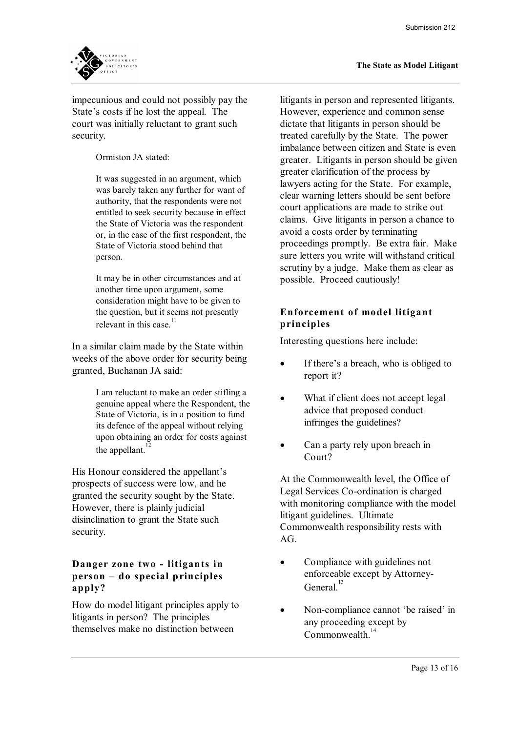

impecunious and could not possibly pay the State's costs if he lost the appeal. The court was initially reluctant to grant such security.

Ormiston JA stated:

It was suggested in an argument, which was barely taken any further for want of authority, that the respondents were not entitled to seek security because in effect the State of Victoria was the respondent or, in the case of the first respondent, the State of Victoria stood behind that person.

It may be in other circumstances and at another time upon argument, some consideration might have to be given to the question, but it seems not presently relevant in this case.

In a similar claim made by the State within weeks of the above order for security being granted, Buchanan JA said:

> I am reluctant to make an order stifling a genuine appeal where the Respondent, the State of Victoria, is in a position to fund its defence of the appeal without relying upon obtaining an order for costs against the appellant. $12$

His Honour considered the appellant's prospects of success were low, and he granted the security sought by the State. However, there is plainly judicial disinclination to grant the State such security.

#### **Danger zone two - litigants in person – d o special p rin ciples apply?**

How do model litigant principles apply to litigants in person? The principles themselves make no distinction between

litigants in person and represented litigants. However, experience and common sense dictate that litigants in person should be treated carefully by the State. The power imbalance between citizen and State is even greater. Litigants in person should be given greater clarification of the process by lawyers acting for the State. For example, clear warning letters should be sent before court applications are made to strike out claims. Give litigants in person a chance to avoid a costs order by terminating proceedings promptly. Be extra fair. Make sure letters you write will withstand critical scrutiny by a judge. Make them as clear as possible. Proceed cautiously!

#### **Enforcement of model litigant principles**

Interesting questions here include:

- If there's a breach, who is obliged to report it?
- What if client does not accept legal advice that proposed conduct infringes the guidelines?
- Can a party rely upon breach in Court?

At the Commonwealth level, the Office of Legal Services Co-ordination is charged with monitoring compliance with the model litigant guidelines. Ultimate Commonwealth responsibility rests with  $AG<sub>c</sub>$ 

- Compliance with guidelines not enforceable except by Attorney General<sup>13</sup>
- Non-compliance cannot 'be raised' in any proceeding except by Commonwealth<sup>14</sup>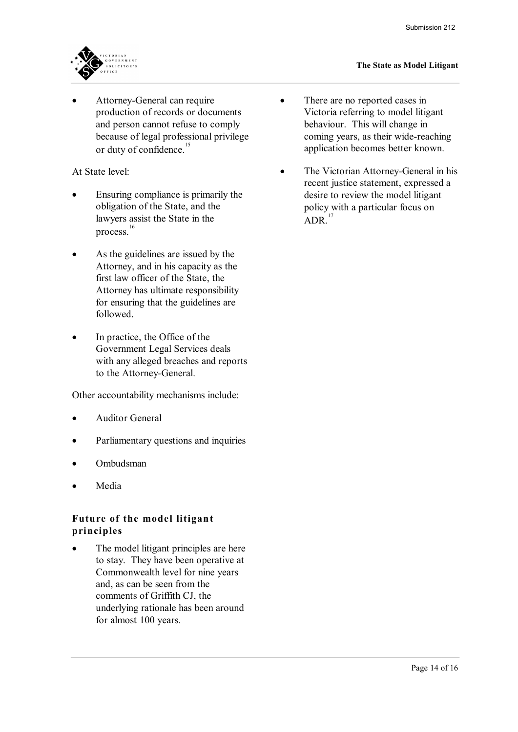

Attorney-General can require production of records or documents and person cannot refuse to comply because of legal professional privilege or duty of confidence.<sup>15</sup>

At State level:

- Ensuring compliance is primarily the obligation of the State, and the lawyers assist the State in the process. 16
- As the guidelines are issued by the Attorney, and in his capacity as the first law officer of the State, the Attorney has ultimate responsibility for ensuring that the guidelines are followed.
- In practice, the Office of the Government Legal Services deals with any alleged breaches and reports to the Attorney-General.

Other accountability mechanisms include:

- Auditor General
- Parliamentary questions and inquiries
- · Ombudsman
- · Media

# **Fu ture of the model li tigan t principle s**

• The model litigant principles are here to stay. They have been operative at Commonwealth level for nine years and, as can be seen from the comments of Griffith CJ, the underlying rationale has been around for almost 100 years.

- There are no reported cases in Victoria referring to model litigant behaviour. This will change in coming years, as their wide-reaching application becomes better known.
- The Victorian Attorney-General in his recent justice statement, expressed a desire to review the model litigant policy with a particular focus on  $ADR$ <sup>17</sup>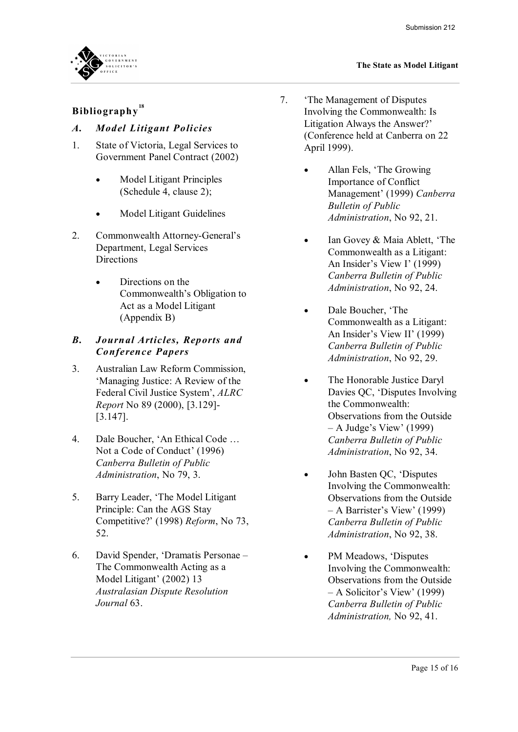# **Bibliography**<sup>18</sup><br>*A. Model Lit*

# *A. Model Litigant Policies*<br>1. State of Victoria. Legal Servi

- State of Victoria, Legal Services to Government Panel Contract (2002)
	- · Model Litigant Principles (Schedule 4, clause 2);
	- Model Litigant Guidelines
- 2. Commonwealth Attorney-General's Department, Legal Services **Directions** 
	- Directions on the Commonwealth's Obligation to Act as a Model Litigant (Appendix B)

# *(Appendix B)*<br> **B.** *Journal Articles, Reports and Conference Papers Con fe rence Papers*

- 3. Australian Law Reform Commission, 'Managing Justice: A Review of the Federal Civil Justice System', *ALRC Report* No 89 (2000), [3.129] [3.147].
- 4. Dale Boucher, 'An Ethical Code … Not a Code of Conduct' (1996) *Canberra Bulletin of Public Administration*, No 79, 3.
- 5. Barry Leader, 'The Model Litigant Principle: Can the AGS Stay Competitive?' (1998) *Reform*, No 73, 52.
- 6. David Spender, 'Dramatis Personae The Commonwealth Acting as a Model Litigant' (2002) 13 *Australasian Dispute Resolution Journal* 63.
- 7. 'The Management of Disputes Involving the Commonwealth: Is Litigation Always the Answer?' (Conference held at Canberra on 22 April 1999).
	- Allan Fels, 'The Growing Importance of Conflict Management' (1999) *Canberra Bulletin of Public Administration*, No 92, 21.
	- Ian Govey & Maia Ablett, 'The Commonwealth as a Litigant: An Insider's View I' (1999) *Canberra Bulletin of Public Administration*, No 92, 24.
	- Dale Boucher, 'The Commonwealth as a Litigant: An Insider's View II' (1999) *Canberra Bulletin of Public Administration*, No 92, 29.
	- The Honorable Justice Daryl Davies QC, 'Disputes Involving the Commonwealth: Observations from the Outside – A Judge's View' (1999) *Canberra Bulletin of Public Administration*, No 92, 34.
	- John Basten QC, 'Disputes Involving the Commonwealth: Observations from the Outside – A Barrister's View' (1999) *Canberra Bulletin of Public Administration*, No 92, 38.
	- PM Meadows, 'Disputes Involving the Commonwealth: Observations from the Outside – A Solicitor's View' (1999) *Canberra Bulletin of Public Administration,* No 92, 41.